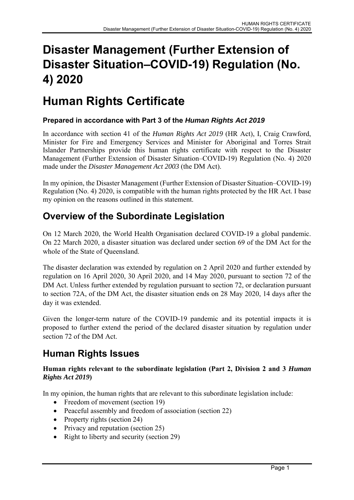# **Disaster Management (Further Extension of Disaster Situation–COVID-19) Regulation (No. 4) 2020**

# **Human Rights Certificate**

## **Prepared in accordance with Part 3 of the** *Human Rights Act 2019*

In accordance with section 41 of the *Human Rights Act 2019* (HR Act), I, Craig Crawford, Minister for Fire and Emergency Services and Minister for Aboriginal and Torres Strait Islander Partnerships provide this human rights certificate with respect to the Disaster Management (Further Extension of Disaster Situation–COVID-19) Regulation (No. 4) 2020 made under the *Disaster Management Act 2003* (the DM Act).

In my opinion, the Disaster Management (Further Extension of Disaster Situation–COVID-19) Regulation (No. 4) 2020, is compatible with the human rights protected by the HR Act. I base my opinion on the reasons outlined in this statement.

# **Overview of the Subordinate Legislation**

On 12 March 2020, the World Health Organisation declared COVID-19 a global pandemic. On 22 March 2020, a disaster situation was declared under section 69 of the DM Act for the whole of the State of Queensland.

The disaster declaration was extended by regulation on 2 April 2020 and further extended by regulation on 16 April 2020, 30 April 2020, and 14 May 2020, pursuant to section 72 of the DM Act. Unless further extended by regulation pursuant to section 72, or declaration pursuant to section 72A, of the DM Act, the disaster situation ends on 28 May 2020, 14 days after the day it was extended.

Given the longer-term nature of the COVID-19 pandemic and its potential impacts it is proposed to further extend the period of the declared disaster situation by regulation under section 72 of the DM Act.

# **Human Rights Issues**

### **Human rights relevant to the subordinate legislation (Part 2, Division 2 and 3** *Human Rights Act 2019***)**

In my opinion, the human rights that are relevant to this subordinate legislation include:

- Freedom of movement (section 19)
- Peaceful assembly and freedom of association (section 22)
- Property rights (section 24)
- Privacy and reputation (section 25)
- Right to liberty and security (section 29)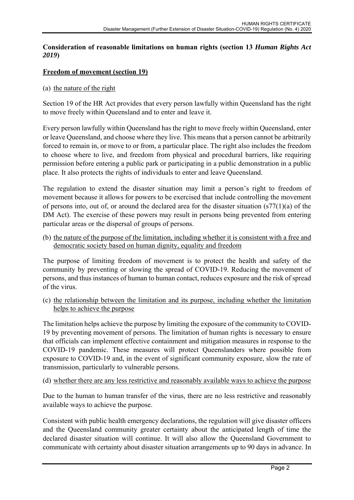### **Consideration of reasonable limitations on human rights (section 13** *Human Rights Act 2019***)**

#### **Freedom of movement (section 19)**

#### (a) the nature of the right

Section 19 of the HR Act provides that every person lawfully within Queensland has the right to move freely within Queensland and to enter and leave it.

Every person lawfully within Queensland has the right to move freely within Queensland, enter or leave Queensland, and choose where they live. This means that a person cannot be arbitrarily forced to remain in, or move to or from, a particular place. The right also includes the freedom to choose where to live, and freedom from physical and procedural barriers, like requiring permission before entering a public park or participating in a public demonstration in a public place. It also protects the rights of individuals to enter and leave Queensland.

The regulation to extend the disaster situation may limit a person's right to freedom of movement because it allows for powers to be exercised that include controlling the movement of persons into, out of, or around the declared area for the disaster situation  $(s77(1)(a)$  of the DM Act). The exercise of these powers may result in persons being prevented from entering particular areas or the dispersal of groups of persons.

(b) the nature of the purpose of the limitation, including whether it is consistent with a free and democratic society based on human dignity, equality and freedom

The purpose of limiting freedom of movement is to protect the health and safety of the community by preventing or slowing the spread of COVID-19. Reducing the movement of persons, and thus instances of human to human contact, reduces exposure and the risk of spread of the virus.

(c) the relationship between the limitation and its purpose, including whether the limitation helps to achieve the purpose

The limitation helps achieve the purpose by limiting the exposure of the community to COVID-19 by preventing movement of persons. The limitation of human rights is necessary to ensure that officials can implement effective containment and mitigation measures in response to the COVID-19 pandemic. These measures will protect Queenslanders where possible from exposure to COVID-19 and, in the event of significant community exposure, slow the rate of transmission, particularly to vulnerable persons.

(d) whether there are any less restrictive and reasonably available ways to achieve the purpose

Due to the human to human transfer of the virus, there are no less restrictive and reasonably available ways to achieve the purpose.

Consistent with public health emergency declarations, the regulation will give disaster officers and the Queensland community greater certainty about the anticipated length of time the declared disaster situation will continue. It will also allow the Queensland Government to communicate with certainty about disaster situation arrangements up to 90 days in advance. In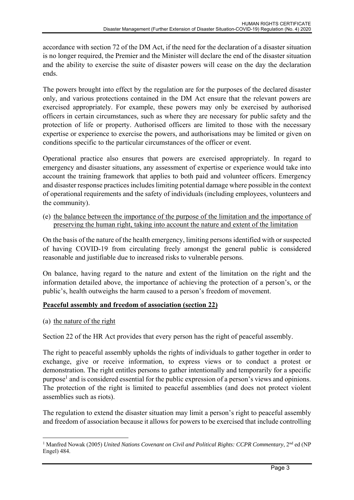accordance with section 72 of the DM Act, if the need for the declaration of a disaster situation is no longer required, the Premier and the Minister will declare the end of the disaster situation and the ability to exercise the suite of disaster powers will cease on the day the declaration ends.

The powers brought into effect by the regulation are for the purposes of the declared disaster only, and various protections contained in the DM Act ensure that the relevant powers are exercised appropriately. For example, these powers may only be exercised by authorised officers in certain circumstances, such as where they are necessary for public safety and the protection of life or property. Authorised officers are limited to those with the necessary expertise or experience to exercise the powers, and authorisations may be limited or given on conditions specific to the particular circumstances of the officer or event.

Operational practice also ensures that powers are exercised appropriately. In regard to emergency and disaster situations, any assessment of expertise or experience would take into account the training framework that applies to both paid and volunteer officers. Emergency and disaster response practices includes limiting potential damage where possible in the context of operational requirements and the safety of individuals (including employees, volunteers and the community).

(e) the balance between the importance of the purpose of the limitation and the importance of preserving the human right, taking into account the nature and extent of the limitation

On the basis of the nature of the health emergency, limiting persons identified with or suspected of having COVID-19 from circulating freely amongst the general public is considered reasonable and justifiable due to increased risks to vulnerable persons.

On balance, having regard to the nature and extent of the limitation on the right and the information detailed above, the importance of achieving the protection of a person's, or the public's, health outweighs the harm caused to a person's freedom of movement.

## **Peaceful assembly and freedom of association (section 22)**

(a) the nature of the right

Section 22 of the HR Act provides that every person has the right of peaceful assembly.

The right to peaceful assembly upholds the rights of individuals to gather together in order to exchange, give or receive information, to express views or to conduct a protest or demonstration. The right entitles persons to gather intentionally and temporarily for a specific purpose<sup>1</sup> and is considered essential for the public expression of a person's views and opinions. The protection of the right is limited to peaceful assemblies (and does not protect violent assemblies such as riots).

The regulation to extend the disaster situation may limit a person's right to peaceful assembly and freedom of association because it allows for powers to be exercised that include controlling

 <sup>1</sup> Manfred Nowak (2005) *United Nations Covenant on Civil and Political Rights: CCPR Commentary*, 2<sup>nd</sup> ed (NP Engel) 484.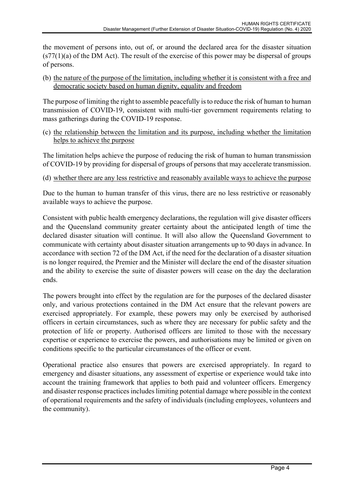the movement of persons into, out of, or around the declared area for the disaster situation  $(s77(1)(a)$  of the DM Act). The result of the exercise of this power may be dispersal of groups of persons.

(b) the nature of the purpose of the limitation, including whether it is consistent with a free and democratic society based on human dignity, equality and freedom

The purpose of limiting the right to assemble peacefully is to reduce the risk of human to human transmission of COVID-19, consistent with multi-tier government requirements relating to mass gatherings during the COVID-19 response.

(c) the relationship between the limitation and its purpose, including whether the limitation helps to achieve the purpose

The limitation helps achieve the purpose of reducing the risk of human to human transmission of COVID-19 by providing for dispersal of groups of persons that may accelerate transmission.

(d) whether there are any less restrictive and reasonably available ways to achieve the purpose

Due to the human to human transfer of this virus, there are no less restrictive or reasonably available ways to achieve the purpose.

Consistent with public health emergency declarations, the regulation will give disaster officers and the Queensland community greater certainty about the anticipated length of time the declared disaster situation will continue. It will also allow the Queensland Government to communicate with certainty about disaster situation arrangements up to 90 days in advance. In accordance with section 72 of the DM Act, if the need for the declaration of a disaster situation is no longer required, the Premier and the Minister will declare the end of the disaster situation and the ability to exercise the suite of disaster powers will cease on the day the declaration ends.

The powers brought into effect by the regulation are for the purposes of the declared disaster only, and various protections contained in the DM Act ensure that the relevant powers are exercised appropriately. For example, these powers may only be exercised by authorised officers in certain circumstances, such as where they are necessary for public safety and the protection of life or property. Authorised officers are limited to those with the necessary expertise or experience to exercise the powers, and authorisations may be limited or given on conditions specific to the particular circumstances of the officer or event.

Operational practice also ensures that powers are exercised appropriately. In regard to emergency and disaster situations, any assessment of expertise or experience would take into account the training framework that applies to both paid and volunteer officers. Emergency and disaster response practices includes limiting potential damage where possible in the context of operational requirements and the safety of individuals (including employees, volunteers and the community).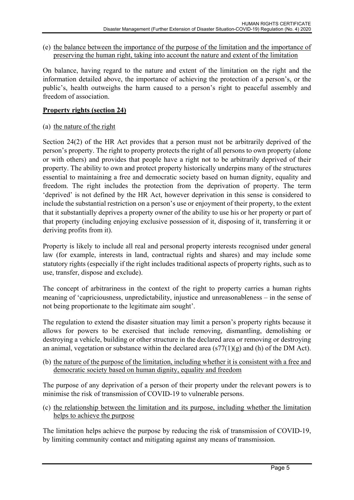(e) the balance between the importance of the purpose of the limitation and the importance of preserving the human right, taking into account the nature and extent of the limitation

On balance, having regard to the nature and extent of the limitation on the right and the information detailed above, the importance of achieving the protection of a person's, or the public's, health outweighs the harm caused to a person's right to peaceful assembly and freedom of association.

### **Property rights (section 24)**

### (a) the nature of the right

Section 24(2) of the HR Act provides that a person must not be arbitrarily deprived of the person's property. The right to property protects the right of all persons to own property (alone or with others) and provides that people have a right not to be arbitrarily deprived of their property. The ability to own and protect property historically underpins many of the structures essential to maintaining a free and democratic society based on human dignity, equality and freedom. The right includes the protection from the deprivation of property. The term 'deprived' is not defined by the HR Act, however deprivation in this sense is considered to include the substantial restriction on a person's use or enjoyment of their property, to the extent that it substantially deprives a property owner of the ability to use his or her property or part of that property (including enjoying exclusive possession of it, disposing of it, transferring it or deriving profits from it).

Property is likely to include all real and personal property interests recognised under general law (for example, interests in land, contractual rights and shares) and may include some statutory rights (especially if the right includes traditional aspects of property rights, such as to use, transfer, dispose and exclude).

The concept of arbitrariness in the context of the right to property carries a human rights meaning of 'capriciousness, unpredictability, injustice and unreasonableness – in the sense of not being proportionate to the legitimate aim sought'.

The regulation to extend the disaster situation may limit a person's property rights because it allows for powers to be exercised that include removing, dismantling, demolishing or destroying a vehicle, building or other structure in the declared area or removing or destroying an animal, vegetation or substance within the declared area  $(s77(1)(g)$  and (h) of the DM Act).

(b) the nature of the purpose of the limitation, including whether it is consistent with a free and democratic society based on human dignity, equality and freedom

The purpose of any deprivation of a person of their property under the relevant powers is to minimise the risk of transmission of COVID-19 to vulnerable persons.

(c) the relationship between the limitation and its purpose, including whether the limitation helps to achieve the purpose

The limitation helps achieve the purpose by reducing the risk of transmission of COVID-19, by limiting community contact and mitigating against any means of transmission.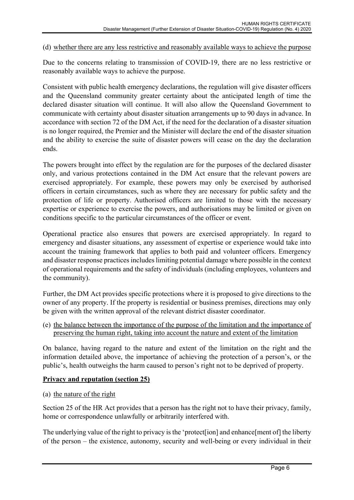#### (d) whether there are any less restrictive and reasonably available ways to achieve the purpose

Due to the concerns relating to transmission of COVID-19, there are no less restrictive or reasonably available ways to achieve the purpose.

Consistent with public health emergency declarations, the regulation will give disaster officers and the Queensland community greater certainty about the anticipated length of time the declared disaster situation will continue. It will also allow the Queensland Government to communicate with certainty about disaster situation arrangements up to 90 days in advance. In accordance with section 72 of the DM Act, if the need for the declaration of a disaster situation is no longer required, the Premier and the Minister will declare the end of the disaster situation and the ability to exercise the suite of disaster powers will cease on the day the declaration ends.

The powers brought into effect by the regulation are for the purposes of the declared disaster only, and various protections contained in the DM Act ensure that the relevant powers are exercised appropriately. For example, these powers may only be exercised by authorised officers in certain circumstances, such as where they are necessary for public safety and the protection of life or property. Authorised officers are limited to those with the necessary expertise or experience to exercise the powers, and authorisations may be limited or given on conditions specific to the particular circumstances of the officer or event.

Operational practice also ensures that powers are exercised appropriately. In regard to emergency and disaster situations, any assessment of expertise or experience would take into account the training framework that applies to both paid and volunteer officers. Emergency and disaster response practices includes limiting potential damage where possible in the context of operational requirements and the safety of individuals (including employees, volunteers and the community).

Further, the DM Act provides specific protections where it is proposed to give directions to the owner of any property. If the property is residential or business premises, directions may only be given with the written approval of the relevant district disaster coordinator.

(e) the balance between the importance of the purpose of the limitation and the importance of preserving the human right, taking into account the nature and extent of the limitation

On balance, having regard to the nature and extent of the limitation on the right and the information detailed above, the importance of achieving the protection of a person's, or the public's, health outweighs the harm caused to person's right not to be deprived of property.

#### **Privacy and reputation (section 25)**

(a) the nature of the right

Section 25 of the HR Act provides that a person has the right not to have their privacy, family, home or correspondence unlawfully or arbitrarily interfered with.

The underlying value of the right to privacy is the 'protect[ion] and enhance[ment of] the liberty of the person – the existence, autonomy, security and well-being or every individual in their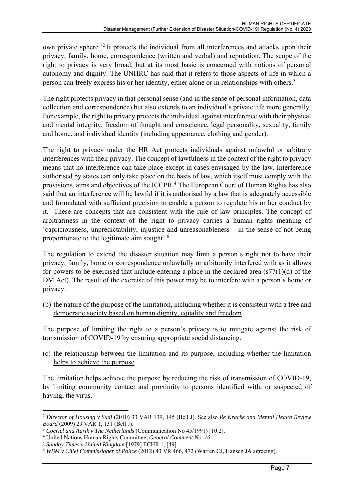own private sphere.'2 It protects the individual from all interferences and attacks upon their privacy, family, home, correspondence (written and verbal) and reputation. The scope of the right to privacy is very broad, but at its most basic is concerned with notions of personal autonomy and dignity. The UNHRC has said that it refers to those aspects of life in which a person can freely express his or her identity, either alone or in relationships with others.<sup>3</sup>

The right protects privacy in that personal sense (and in the sense of personal information, data collection and correspondence) but also extends to an individual's private life more generally. For example, the right to privacy protects the individual against interference with their physical and mental integrity, freedom of thought and conscience, legal personality, sexuality, family and home, and individual identity (including appearance, clothing and gender).

The right to privacy under the HR Act protects individuals against unlawful or arbitrary interferences with their privacy. The concept of lawfulness in the context of the right to privacy means that no interference can take place except in cases envisaged by the law. Interference authorised by states can only take place on the basis of law, which itself must comply with the provisions, aims and objectives of the ICCPR.<sup>4</sup> The European Court of Human Rights has also said that an interference will be lawful if it is authorised by a law that is adequately accessible and formulated with sufficient precision to enable a person to regulate his or her conduct by it.<sup>5</sup> These are concepts that are consistent with the rule of law principles. The concept of arbitrariness in the context of the right to privacy carries a human rights meaning of 'capriciousness, unpredictability, injustice and unreasonableness – in the sense of not being proportionate to the legitimate aim sought'.<sup>6</sup>

The regulation to extend the disaster situation may limit a person's right not to have their privacy, family, home or correspondence unlawfully or arbitrarily interfered with as it allows for powers to be exercised that include entering a place in the declared area  $(s77(1)(d))$  of the DM Act). The result of the exercise of this power may be to interfere with a person's home or privacy.

(b) the nature of the purpose of the limitation, including whether it is consistent with a free and democratic society based on human dignity, equality and freedom

The purpose of limiting the right to a person's privacy is to mitigate against the risk of transmission of COVID-19 by ensuring appropriate social distancing.

(c) the relationship between the limitation and its purpose, including whether the limitation helps to achieve the purpose

The limitation helps achieve the purpose by reducing the risk of transmission of COVID-19, by limiting community contact and proximity to persons identified with, or suspected of having, the virus.

 <sup>2</sup> *Director of Housing v Sudi* (2010) 33 VAR 139, 145 (Bell J). See also *Re Kracke and Mental Health Review Board* (2009) 29 VAR 1, 131 (Bell J).

<sup>3</sup> *Coeriel and Aurik v The Netherlands* (Communication No 45/1991) [10.2]. 4

United Nations Human Rights Committee, *General Comment No. 16*. 5 *Sunday Times v United Kingdom* [1979] ECHR 1, [49].

<sup>6</sup> *WBM v Chief Commissioner of Police* (2012) 43 VR 466, 472 (Warren CJ, Hansen JA agreeing).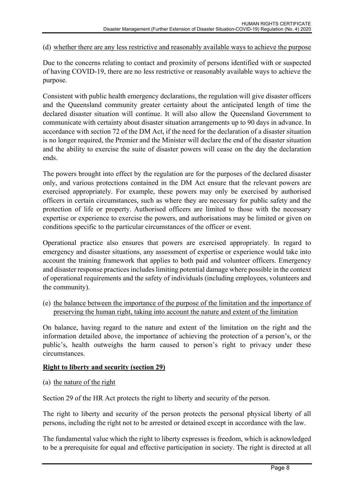(d) whether there are any less restrictive and reasonably available ways to achieve the purpose

Due to the concerns relating to contact and proximity of persons identified with or suspected of having COVID-19, there are no less restrictive or reasonably available ways to achieve the purpose.

Consistent with public health emergency declarations, the regulation will give disaster officers and the Queensland community greater certainty about the anticipated length of time the declared disaster situation will continue. It will also allow the Queensland Government to communicate with certainty about disaster situation arrangements up to 90 days in advance. In accordance with section 72 of the DM Act, if the need for the declaration of a disaster situation is no longer required, the Premier and the Minister will declare the end of the disaster situation and the ability to exercise the suite of disaster powers will cease on the day the declaration ends.

The powers brought into effect by the regulation are for the purposes of the declared disaster only, and various protections contained in the DM Act ensure that the relevant powers are exercised appropriately. For example, these powers may only be exercised by authorised officers in certain circumstances, such as where they are necessary for public safety and the protection of life or property. Authorised officers are limited to those with the necessary expertise or experience to exercise the powers, and authorisations may be limited or given on conditions specific to the particular circumstances of the officer or event.

Operational practice also ensures that powers are exercised appropriately. In regard to emergency and disaster situations, any assessment of expertise or experience would take into account the training framework that applies to both paid and volunteer officers. Emergency and disaster response practices includes limiting potential damage where possible in the context of operational requirements and the safety of individuals (including employees, volunteers and the community).

(e) the balance between the importance of the purpose of the limitation and the importance of preserving the human right, taking into account the nature and extent of the limitation

On balance, having regard to the nature and extent of the limitation on the right and the information detailed above, the importance of achieving the protection of a person's, or the public's, health outweighs the harm caused to person's right to privacy under these circumstances.

#### **Right to liberty and security (section 29)**

(a) the nature of the right

Section 29 of the HR Act protects the right to liberty and security of the person.

The right to liberty and security of the person protects the personal physical liberty of all persons, including the right not to be arrested or detained except in accordance with the law.

The fundamental value which the right to liberty expresses is freedom, which is acknowledged to be a prerequisite for equal and effective participation in society. The right is directed at all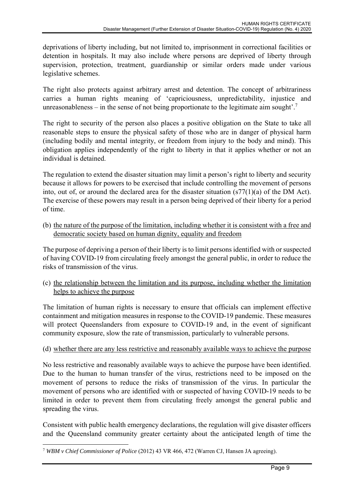deprivations of liberty including, but not limited to, imprisonment in correctional facilities or detention in hospitals. It may also include where persons are deprived of liberty through supervision, protection, treatment, guardianship or similar orders made under various legislative schemes.

The right also protects against arbitrary arrest and detention. The concept of arbitrariness carries a human rights meaning of 'capriciousness, unpredictability, injustice and unreasonableness – in the sense of not being proportionate to the legitimate aim sought'.<sup>7</sup>

The right to security of the person also places a positive obligation on the State to take all reasonable steps to ensure the physical safety of those who are in danger of physical harm (including bodily and mental integrity, or freedom from injury to the body and mind). This obligation applies independently of the right to liberty in that it applies whether or not an individual is detained.

The regulation to extend the disaster situation may limit a person's right to liberty and security because it allows for powers to be exercised that include controlling the movement of persons into, out of, or around the declared area for the disaster situation  $(s77(1)(a)$  of the DM Act). The exercise of these powers may result in a person being deprived of their liberty for a period of time.

(b) the nature of the purpose of the limitation, including whether it is consistent with a free and democratic society based on human dignity, equality and freedom

The purpose of depriving a person of their liberty is to limit persons identified with or suspected of having COVID-19 from circulating freely amongst the general public, in order to reduce the risks of transmission of the virus.

(c) the relationship between the limitation and its purpose, including whether the limitation helps to achieve the purpose

The limitation of human rights is necessary to ensure that officials can implement effective containment and mitigation measures in response to the COVID-19 pandemic. These measures will protect Queenslanders from exposure to COVID-19 and, in the event of significant community exposure, slow the rate of transmission, particularly to vulnerable persons.

### (d) whether there are any less restrictive and reasonably available ways to achieve the purpose

No less restrictive and reasonably available ways to achieve the purpose have been identified. Due to the human to human transfer of the virus, restrictions need to be imposed on the movement of persons to reduce the risks of transmission of the virus. In particular the movement of persons who are identified with or suspected of having COVID-19 needs to be limited in order to prevent them from circulating freely amongst the general public and spreading the virus.

Consistent with public health emergency declarations, the regulation will give disaster officers and the Queensland community greater certainty about the anticipated length of time the

 <sup>7</sup> *WBM v Chief Commissioner of Police* (2012) 43 VR 466, 472 (Warren CJ, Hansen JA agreeing).